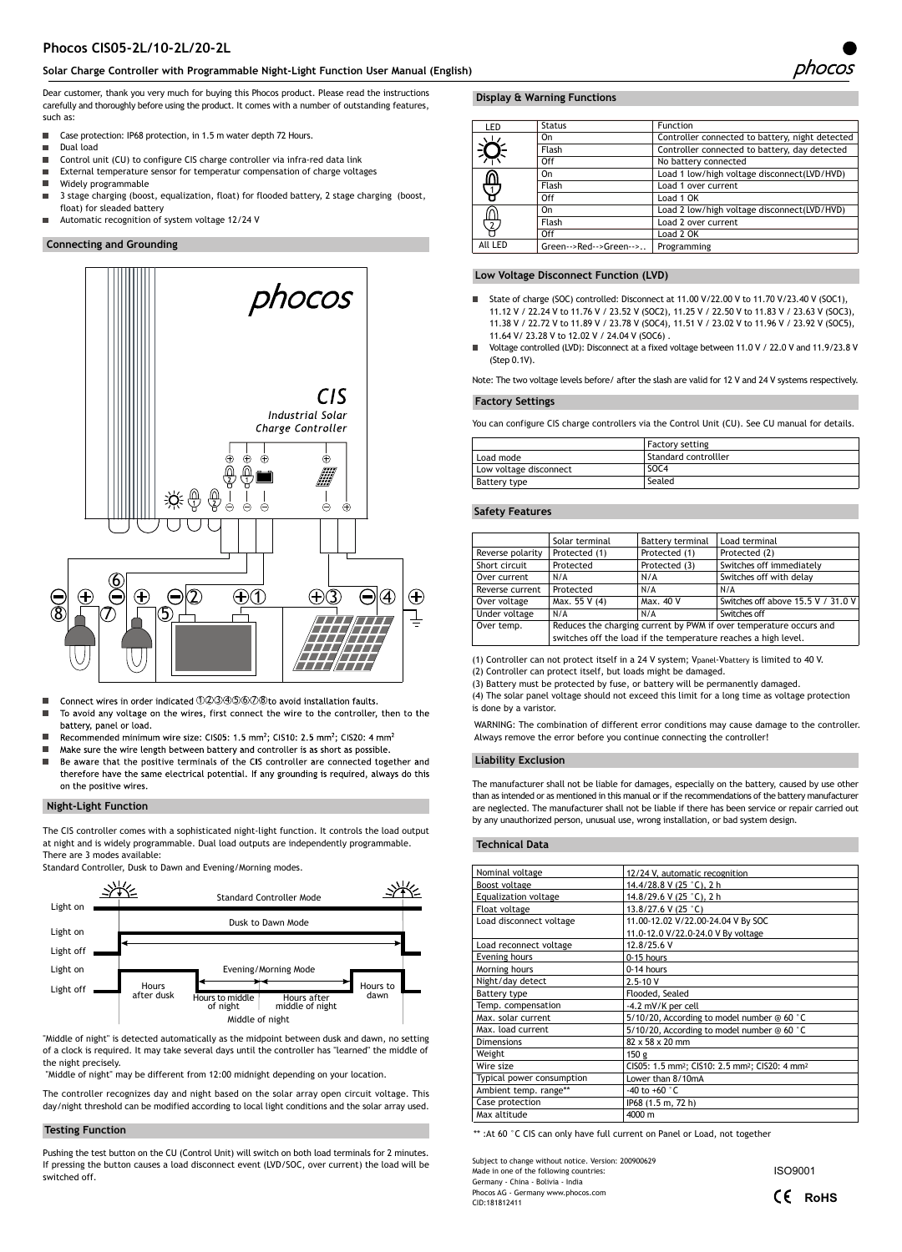# **Phocos CIS05-2L/10-2L/20-2L**

# **Solar Charge Controller with Programmable Night-Light Function User Manual (English)**

Dear customer, thank you very much for buying this Phocos product. Please read the instructions carefully and thoroughly before using the product. It comes with a number of outstanding features, such as:

- $\blacksquare$ Case protection: IP68 protection, in 1.5 m water depth 72 Hours.
- $\blacksquare$ Dual load
- $\blacksquare$ Control unit (CU) to configure CIS charge controller via infra-red data link
- Ė External temperature sensor for temperatur compensation of charge voltages
- Widely programmable
- $\blacksquare$ 3 stage charging (boost, equalization, float) for flooded battery, 2 stage charging (boost, float) for sleaded battery
- $\blacksquare$ Automatic recognition of system voltage 12/24 V

# **Connecting and Grounding**



- Connect wires in order indicated 0203456008 to avoid installation faults.
- п To avoid any voltage on the wires, first connect the wire to the controller, then to the battery, panel or load.
- п Recommended minimum wire size: CIS05: 1.5 mm<sup>2</sup>; CIS10: 2.5 mm<sup>2</sup>; CIS20: 4 mm<sup>2</sup>
- Make sure the wire length between battery and controller is as short as possible. п  $\blacksquare$ Be aware that the positive terminals of the CIS controller are connected together and
- therefore have the same electrical potential. If any grounding is required, always do this on the positive wires.

#### **Night-Light Function**

The CIS controller comes with a sophisticated night-light function. It controls the load output at night and is widely programmable. Dual load outputs are independently programmable. There are 3 modes available:

Standard Controller, Dusk to Dawn and Evening/Morning modes.



"Middle of night" is detected automatically as the midpoint between dusk and dawn, no setting of a clock is required. It may take several days until the controller has "learned" the middle of the night precisely.

"Middle of night" may be different from 12:00 midnight depending on your location.

The controller recognizes day and night based on the solar array open circuit voltage. This day/night threshold can be modified according to local light conditions and the solar array used.

#### **Testing Function**

Pushing the test button on the CU (Control Unit) will switch on both load terminals for 2 minutes. If pressing the button causes a load disconnect event (LVD/SOC, over current) the load will be switched off.

# **Display & Warning Functions**

| LED        | <b>Status</b>          | <b>Function</b>                                 |
|------------|------------------------|-------------------------------------------------|
| $\sqrt{1}$ | On                     | Controller connected to battery, night detected |
|            | Flash                  | Controller connected to battery, day detected   |
|            | Off                    | No battery connected                            |
| ௹          | On                     | Load 1 low/high voltage disconnect(LVD/HVD)     |
|            | Flash                  | Load 1 over current                             |
|            | Off                    | Load 1 OK                                       |
| <b></b> 2  | On                     | Load 2 low/high voltage disconnect(LVD/HVD)     |
|            | Flash                  | Load 2 over current                             |
|            | Off                    | Load 2 OK                                       |
| All LED    | Green-->Red-->Green--> | Programming                                     |
|            |                        |                                                 |

### **Low Voltage Disconnect Function (LVD)**

- $\blacksquare$ State of charge (SOC) controlled: Disconnect at 11.00 V/22.00 V to 11.70 V/23.40 V (SOC1), 11.12 V / 22.24 V to 11.76 V / 23.52 V (SOC2), 11.25 V / 22.50 V to 11.83 V / 23.63 V (SOC3), 11.38 V / 22.72 V to 11.89 V / 23.78 V (SOC4), 11.51 V / 23.02 V to 11.96 V / 23.92 V (SOC5), 11.64 V/ 23.28 V to 12.02 V / 24.04 V (SOC6) .
- Voltage controlled (LVD): Disconnect at a fixed voltage between 11.0 V / 22.0 V and 11.9/23.8 V (Step 0.1V).

Note: The two voltage levels before/ after the slash are valid for 12 V and 24 V systems respectively.

#### **Factory Settings**

You can configure CIS charge controllers via the Control Unit (CU). See CU manual for details.

|                        | <b>Factory setting</b> |
|------------------------|------------------------|
| Load mode              | Standard controlller   |
| Low voltage disconnect | SOC <sub>4</sub>       |
| Battery type           | Sealed                 |

#### **Safety Features**

|                  | Solar terminal                                                     | Battery terminal | Load terminal                      |
|------------------|--------------------------------------------------------------------|------------------|------------------------------------|
| Reverse polarity | Protected (1)                                                      | Protected (1)    | Protected (2)                      |
| Short circuit    | Protected                                                          | Protected (3)    | Switches off immediately           |
| Over current     | N/A                                                                | N/A              | Switches off with delay            |
| Reverse current  | Protected                                                          | N/A              | N/A                                |
| Over voltage     | Max. 55 V (4)                                                      | Max. 40 V        | Switches off above 15.5 V / 31.0 V |
| Under voltage    | Switches off<br>N/A<br>N/A                                         |                  |                                    |
| Over temp.       | Reduces the charging current by PWM if over temperature occurs and |                  |                                    |
|                  | switches off the load if the temperature reaches a high level.     |                  |                                    |

(1) Controller can not protect itself in a 24 V system; Vpanel-Vbattery is limited to 40 V.

(2) Controller can protect itself, but loads might be damaged. (3) Battery must be protected by fuse, or battery will be permanently damaged.

(4) The solar panel voltage should not exceed this limit for a long time as voltage protection is done by a varistor

WARNING: The combination of different error conditions may cause damage to the controller. Always remove the error before you continue connecting the controller!

#### **Liability Exclusion**

The manufacturer shall not be liable for damages, especially on the battery, caused by use other than as intended or as mentioned in this manual or if the recommendations of the battery manufacturer are neglected. The manufacturer shall not be liable if there has been service or repair carried out by any unauthorized person, unusual use, wrong installation, or bad system design.

#### **Technical Data**

| Nominal voltage           | 12/24 V, automatic recognition                                                     |
|---------------------------|------------------------------------------------------------------------------------|
| Boost voltage             | 14.4/28.8 V (25 °C), 2 h                                                           |
| Equalization voltage      | 14.8/29.6 V (25 °C), 2 h                                                           |
| Float voltage             | 13.8/27.6 V (25 °C)                                                                |
| Load disconnect voltage   | 11.00-12.02 V/22.00-24.04 V By SOC                                                 |
|                           | 11.0-12.0 V/22.0-24.0 V By voltage                                                 |
| Load reconnect voltage    | 12.8/25.6 V                                                                        |
| Evening hours             | 0-15 hours                                                                         |
| Morning hours             | 0-14 hours                                                                         |
| Night/day detect          | $2.5 - 10V$                                                                        |
| Battery type              | Flooded, Sealed                                                                    |
| Temp. compensation        | -4.2 mV/K per cell                                                                 |
| Max. solar current        | 5/10/20, According to model number @ 60 °C                                         |
| Max. load current         | 5/10/20, According to model number @ 60 °C                                         |
| <b>Dimensions</b>         | $82 \times 58 \times 20$ mm                                                        |
| Weight                    | 150 <sub>g</sub>                                                                   |
| Wire size                 | CIS05: 1.5 mm <sup>2</sup> ; CIS10: 2.5 mm <sup>2</sup> ; CIS20: 4 mm <sup>2</sup> |
| Typical power consumption | Lower than 8/10mA                                                                  |
| Ambient temp. range**     | -40 to +60 $^{\circ}$ C                                                            |
| Case protection           | IP68 (1.5 m, 72 h)                                                                 |
| Max altitude              | 4000 m                                                                             |

\*\* :At 60 °C CIS can only have full current on Panel or Load, not together

Subject to change without notice. Version: 200900629 Made in one of the following countries: Germany - China - Bolivia - India Phocos AG - Germany www.phocos.com **COMPOS COMPONER COMPONER COMPONER ROHS** 

ISO9001